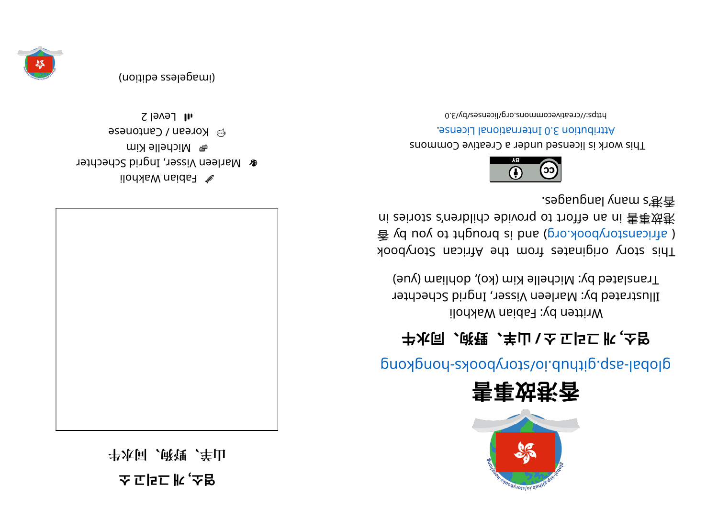**소 고리그 개**, **소염 ��次同、郎锂、羊山** 



 $\mathbb Z$  Fabian Wakholi **&** Marleen Visser, Ingrid Schechter e Michelle Kim esenotrean / Cantonese  $\overline{1}$ l Level 2









## glops - skoopyr ot synchro synchromagnation synchromagnational above synchromagnations

## **⽜⽔同、狗野、⽺⼭/ 소 고리그 개**, **소염**

 $i$ lod $i$ ka Makholi wakholi Illustrated by: Marleen Visser, Ingrid Schechter Translated by: Michelle Kim (ko), dohliam (yue)

koodyn ot story or a set and a finite and storybook  $\frac{2}{3}$  yd uoy ot triguord si bna (pro. koodynotansints) ni zeinotz c'nenblido ebivonq ot troite na ni 害事效巷 . segaugnal yna ms' 港⾹



This work is licensed under a Creative Commons . esnecial lanoit anternational License.

0. 8\vd\zesnecil\on. snommons.org/licenses/by/3.0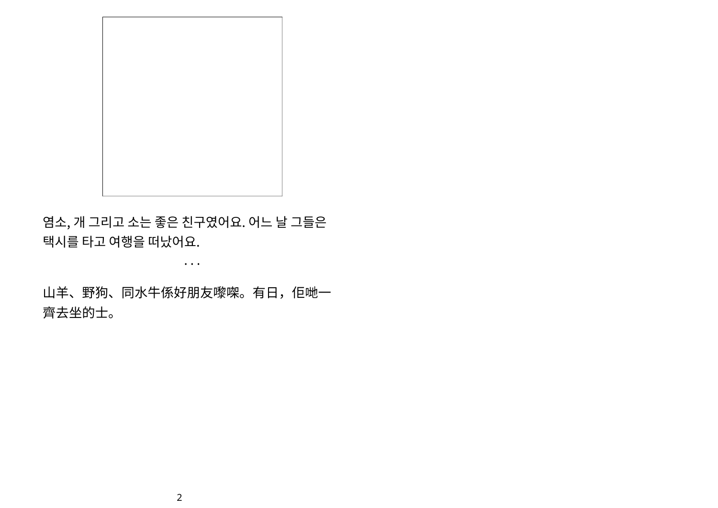

염소, 개 그리고 소는 좋은 친구였어요. 어느 날 그들은 택시를 타고 여행을 떠났어요.

山羊、野狗、同水牛係好朋友嚟㗎。有日,佢哋一 齊去坐的士。

• • •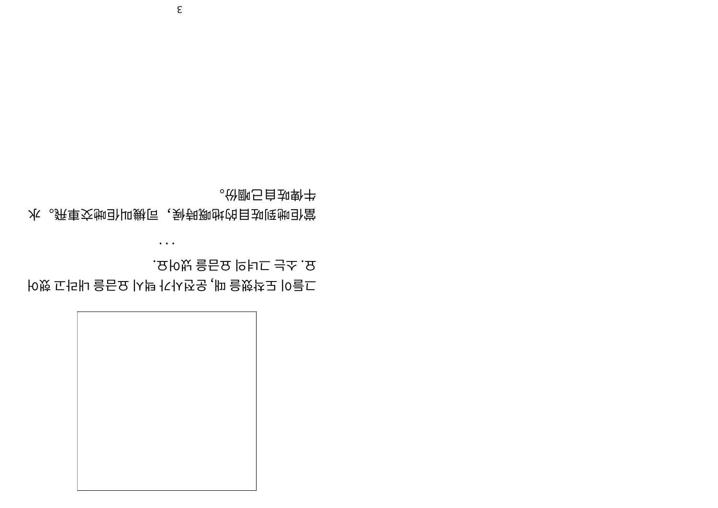

어했 고라내 을금요 시택 가사전운, 때 을했착도 이들그 . 요어냈 을금요 의녀그 는소. 요

• • •

⽔。⾶⾞交哋佢叫機司,候時嘅地的⽬咗到哋佢當 。<br><del>《</del>你郦<del>□自如</del>勒书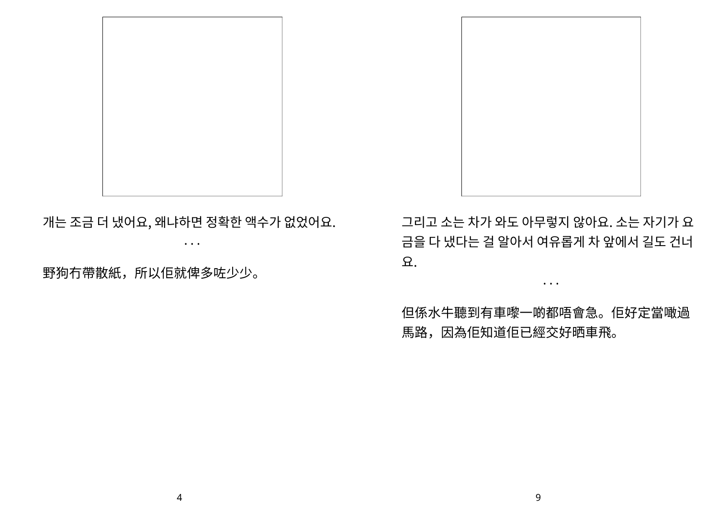

개는 조금 더 냈어요, 왜냐하면 정확한 액수가 없었어요.

• • •

野狗冇帶散紙,所以佢就俾多咗少少。

그리고 소는 차가 와도 아무렇지 않아요. 소는 자기가 요 금을 다 냈다는 걸 알아서 여유롭게 차 앞에서 길도 건너 요.

• • •

但係水牛聽到有車嚟一啲都唔會急。佢好定當噉過 馬路,因為佢知道佢已經交好晒車飛。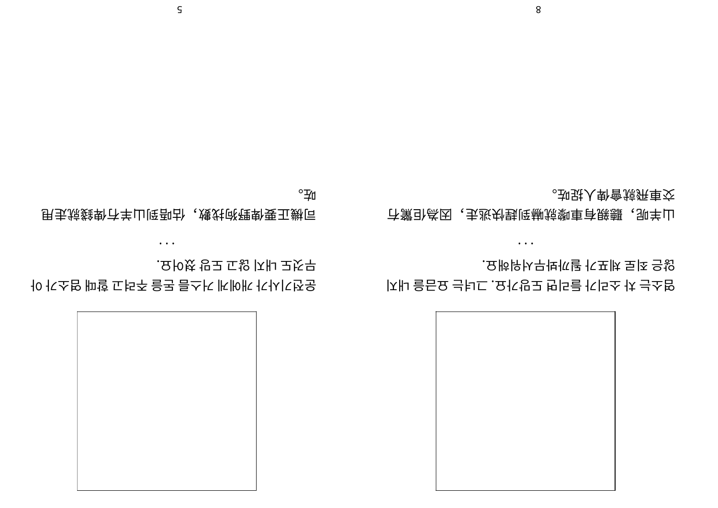## 8

市讚 心学的 法继续毁除 赫特摩奇联盟 。却<u>珠人</u>骨會掠<del></del>东車交

지내 을금요 는녀그. 요가망도 면리들 가리소 차 는소염

. 요해워서무봐까될 가포체 로죄 은않

• • •

 $^{\circ}$ 

甩⾛就錢俾冇⽺⼭到唔估,數找狗野俾要正機司

아 가소염 때할 고려주 을돈 름스거 게에개 가사기전운

• • •

. 요어쳤 망도 고않 지내 도것무



5